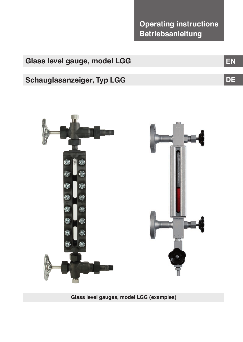**Operating instructions Betriebsanleitung**

| Glass level gauge, model LGG | I EN       |
|------------------------------|------------|
|                              |            |
| Schauglasanzeiger, Typ LGG   | <b>IDE</b> |



**Glass level gauges, model LGG (examples)**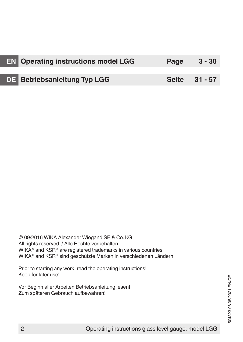| <b>EN</b> Operating instructions model LGG | Page | $3 - 30$      |
|--------------------------------------------|------|---------------|
|                                            |      |               |
| <b>DE Betriebsanleitung Typ LGG</b>        |      | Seite 31 - 57 |

© 09/2016 WIKA Alexander Wiegand SE & Co. KG All rights reserved. / Alle Rechte vorbehalten. WIKA® and KSR® are registered trademarks in various countries. WIKA® and KSR® sind geschützte Marken in verschiedenen Ländern.

Prior to starting any work, read the operating instructions! Keep for later use!

Vor Beginn aller Arbeiten Betriebsanleitung lesen! Zum späteren Gebrauch aufbewahren!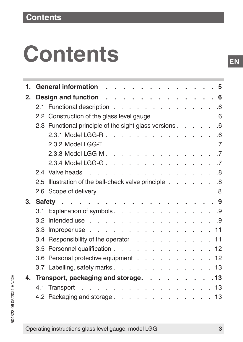# **Contents**

|    | 1. General information 5                               |
|----|--------------------------------------------------------|
| 2. | Design and function 6                                  |
|    | 2.1 Functional description 6                           |
|    | 2.2 Construction of the glass level gauge 6            |
|    | 2.3 Functional principle of the sight glass versions 6 |
|    | 2.3.1 Model LGG-R 6                                    |
|    | 2.3.2 Model LGG-T 7                                    |
|    | 2.3.3 Model LGG-M. 7                                   |
|    | 2.3.4 Model LGG-G. 7                                   |
|    | 2.4 Valve heads 8                                      |
|    | 2.5 Illustration of the ball-check valve principle 8   |
|    | 2.6 Scope of delivery. 8                               |
| 3. | Safety 9                                               |
|    | 3.1 Explanation of symbols. 9                          |
|    | 3.2 Intended use 9                                     |
|    | 3.3 Improper use 11                                    |
|    | 3.4 Responsibility of the operator 11                  |
|    | 3.5 Personnel qualification 12                         |
|    | 3.6 Personal protective equipment 12                   |
|    | 3.7 Labelling, safety marks 13                         |
| 4  | Transport, packaging and storage. 13                   |
|    | 4.1 Transport 13                                       |
|    | 4.2 Packaging and storage. 13                          |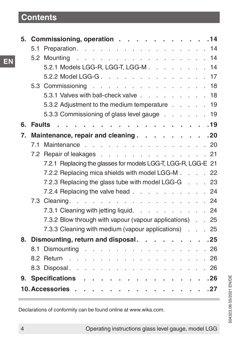# **Contents**

| 5. |     | Commissioning, operation 14                                               |
|----|-----|---------------------------------------------------------------------------|
|    |     | 5.1 Preparation. 14                                                       |
|    |     | 5.2 Mounting<br>14                                                        |
|    |     | 5.2.1 Models LGG-R, LGG-T, LGG-M.<br>14                                   |
|    |     | 5.2.2 Model LGG-G<br>17                                                   |
|    |     | 5.3 Commissioning<br>18                                                   |
|    |     | 5.3.1 Valves with ball-check valve<br>18                                  |
|    |     | 5.3.2 Adjustment to the medium temperature 19                             |
|    |     | 5.3.3 Commissioning of glass level gauge 19                               |
| 6. |     | Faults 19                                                                 |
| 7. |     | Maintenance, repair and cleaning 20                                       |
|    | 7.1 | Maintenance, 20                                                           |
|    |     | 7.2 Repair of leakages 21                                                 |
|    |     | 7.2.1 Replacing the glasses for models LGG-T, LGG-R, LGG-E 21             |
|    |     | 7.2.2 Replacing mica shields with model LGG-M 22                          |
|    |     | 7.2.3 Replacing the glass tube with model LGG-G 23                        |
|    |     | 7.2.4 Replacing the valve head $\ldots$ $\ldots$ $\ldots$ $\ldots$<br>.24 |
|    |     | 7.3 Cleaning.<br>24                                                       |
|    |     | 7.3.1 Cleaning with jetting liquid. 24                                    |
|    |     | 7.3.2 Blow through with vapour (vapour applications) 25                   |
|    |     | 7.3.3 Cleaning with medium (vapour applications) 25                       |
| 8. |     | Dismounting, return and disposal. 25                                      |
|    |     | 8.1 Dismounting 26                                                        |
|    |     | 8.2 Return 26                                                             |
|    |     | 8.3 Disposal. 26                                                          |
| 9. |     | <b>Specifications</b><br>. <b>26</b>                                      |
|    |     | 10. Accessories 27                                                        |
|    |     |                                                                           |

Declarations of conformity can be found online at www.wika.com.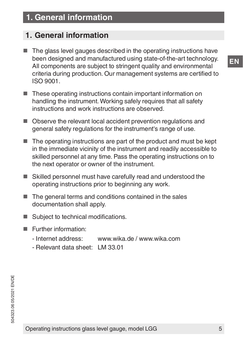## **1. General information**

## **1. General information**

- The glass level gauges described in the operating instructions have been designed and manufactured using state-of-the-art technology. All components are subject to stringent quality and environmental criteria during production. Our management systems are certified to ISO 9001.
- These operating instructions contain important information on handling the instrument. Working safely requires that all safety instructions and work instructions are observed.
- Observe the relevant local accident prevention regulations and general safety regulations for the instrument's range of use.
- The operating instructions are part of the product and must be kept in the immediate vicinity of the instrument and readily accessible to skilled personnel at any time. Pass the operating instructions on to the next operator or owner of the instrument.
- Skilled personnel must have carefully read and understood the operating instructions prior to beginning any work.
- The general terms and conditions contained in the sales documentation shall apply.
- Subject to technical modifications.
- Further information:
	- Internet address: www.wika.de / www.wika.com
	- Relevant data sheet: LM 33.01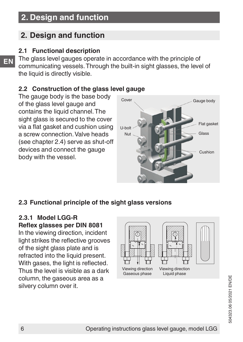## **2. Design and function**

## **2. Design and function**

#### **2.1 Functional description**

The glass level gauges operate in accordance with the principle of communicating vessels. Through the built-in sight glasses, the level of the liquid is directly visible.

#### **2.2 Construction of the glass level gauge**

The gauge body is the base body of the glass level gauge and contains the liquid channel. The sight glass is secured to the cover via a flat gasket and cushion using a screw connection. Valve heads (see chapter 2.4) serve as shut-off devices and connect the gauge body with the vessel.



#### **2.3 Functional principle of the sight glass versions**

#### **2.3.1 Model LGG-R Reflex glasses per DIN 8081**

In the viewing direction, incident light strikes the reflective grooves of the sight glass plate and is refracted into the liquid present. With gases, the light is reflected. Thus the level is visible as a dark column, the gaseous area as a silvery column over it.



504323.06 05/2021 EN/DE 504323.06 05/2021 EN/DE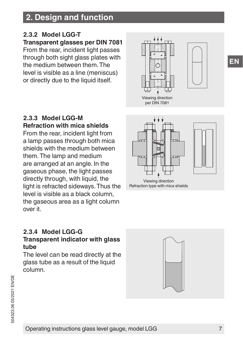# **2. Design and function**

## **2.3.2 Model LGG-T**

**Transparent glasses per DIN 7081**

From the rear, incident light passes through both sight glass plates with the medium between them. The level is visible as a line (meniscus) or directly due to the liquid itself.

#### **2.3.3 Model LGG-M Refraction with mica shields**

From the rear, incident light from a lamp passes through both mica shields with the medium between them. The lamp and medium are arranged at an angle. In the gaseous phase, the light passes directly through, with liquid, the light is refracted sideways. Thus the level is visible as a black column, the gaseous area as a light column over it.



Viewing direction Refraction type with mica shields

# **2.3.4 Model LGG-G**

#### **Transparent indicator with glass tube**

The level can be read directly at the glass tube as a result of the liquid column.

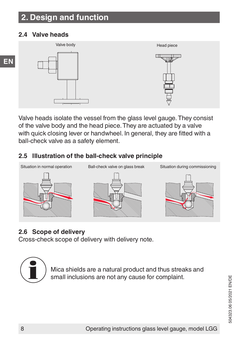## **2. Design and function**

#### **2.4 Valve heads**



Valve heads isolate the vessel from the glass level gauge. They consist of the valve body and the head piece. They are actuated by a valve with quick closing lever or handwheel. In general, they are fitted with a ball-check valve as a safety element.

## **2.5 Illustration of the ball-check valve principle**



#### **2.6 Scope of delivery**

Cross-check scope of delivery with delivery note.



Mica shields are a natural product and thus streaks and small inclusions are not any cause for complaint.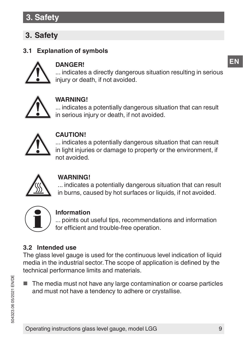## **3. Safety**

#### **3.1 Explanation of symbols**



#### **DANGER!**

... indicates a directly dangerous situation resulting in serious injury or death, if not avoided.



## **WARNING!**

... indicates a potentially dangerous situation that can result in serious injury or death, if not avoided.



#### **CAUTION!**

... indicates a potentially dangerous situation that can result in light injuries or damage to property or the environment, if not avoided.



#### **WARNING!**

... indicates a potentially dangerous situation that can result in burns, caused by hot surfaces or liquids, if not avoided.



#### **Information**

... points out useful tips, recommendations and information for efficient and trouble-free operation.

#### **3.2 Intended use**

The glass level gauge is used for the continuous level indication of liquid media in the industrial sector. The scope of application is defined by the technical performance limits and materials.

■ The media must not have any large contamination or coarse particles and must not have a tendency to adhere or crystallise.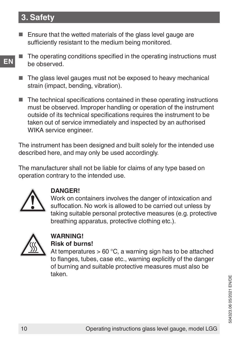- Ensure that the wetted materials of the glass level gauge are sufficiently resistant to the medium being monitored.
- **EN**
- The operating conditions specified in the operating instructions must be observed.
- The glass level gauges must not be exposed to heavy mechanical strain (impact, bending, vibration).
- The technical specifications contained in these operating instructions must be observed. Improper handling or operation of the instrument outside of its technical specifications requires the instrument to be taken out of service immediately and inspected by an authorised WIKA service engineer.

The instrument has been designed and built solely for the intended use described here, and may only be used accordingly.

The manufacturer shall not be liable for claims of any type based on operation contrary to the intended use.



#### **DANGER!**

Work on containers involves the danger of intoxication and suffocation. No work is allowed to be carried out unless by taking suitable personal protective measures (e.g. protective breathing apparatus, protective clothing etc.).



#### **WARNING! Risk of burns!**

At temperatures  $> 60 °C$ , a warning sign has to be attached to flanges, tubes, case etc., warning explicitly of the danger of burning and suitable protective measures must also be taken.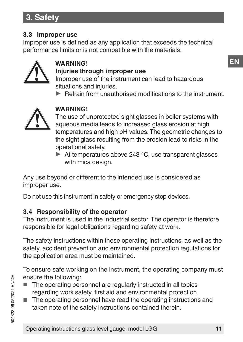## **3.3 Improper use**

Improper use is defined as any application that exceeds the technical performance limits or is not compatible with the materials.



#### **WARNING! Injuries through improper use**

Improper use of the instrument can lead to hazardous situations and injuries.

▶ Refrain from unauthorised modifications to the instrument



#### **WARNING!**

The use of unprotected sight glasses in boiler systems with aqueous media leads to increased glass erosion at high temperatures and high pH values. The geometric changes to the sight glass resulting from the erosion lead to risks in the operational safety.

 $\blacktriangleright$  At temperatures above 243 °C, use transparent glasses with mica design.

Any use beyond or different to the intended use is considered as improper use.

Do not use this instrument in safety or emergency stop devices.

## **3.4 Responsibility of the operator**

The instrument is used in the industrial sector. The operator is therefore responsible for legal obligations regarding safety at work.

The safety instructions within these operating instructions, as well as the safety, accident prevention and environmental protection regulations for the application area must be maintained.

To ensure safe working on the instrument, the operating company must ensure the following:

- The operating personnel are regularly instructed in all topics regarding work safety, first aid and environmental protection.
- The operating personnel have read the operating instructions and taken note of the safety instructions contained therein.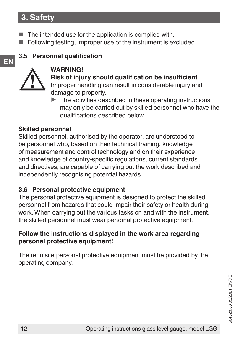- The intended use for the application is complied with.
- Following testing, improper use of the instrument is excluded.

## **3.5 Personnel qualification**



**EN**

#### **WARNING! Risk of injury should qualification be insufficient** Improper handling can result in considerable injury and damage to property.

 $\blacktriangleright$  The activities described in these operating instructions may only be carried out by skilled personnel who have the qualifications described below.

#### **Skilled personnel**

Skilled personnel, authorised by the operator, are understood to be personnel who, based on their technical training, knowledge of measurement and control technology and on their experience and knowledge of country-specific regulations, current standards and directives, are capable of carrying out the work described and independently recognising potential hazards.

#### **3.6 Personal protective equipment**

The personal protective equipment is designed to protect the skilled personnel from hazards that could impair their safety or health during work. When carrying out the various tasks on and with the instrument, the skilled personnel must wear personal protective equipment.

#### **Follow the instructions displayed in the work area regarding personal protective equipment!**

The requisite personal protective equipment must be provided by the operating company.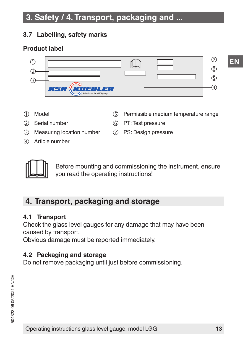# **3. Safety / 4. Transport, packaging and ...**

#### **3.7 Labelling, safety marks**

#### **Product label**



- 
- 
- 3 Measuring location number (7) PS: Design pressure
- Article number
- Model Permissible medium temperature range
- (2) Serial number (6) PT: Test pressure
	-



Before mounting and commissioning the instrument, ensure you read the operating instructions!

## **4. Transport, packaging and storage**

#### **4.1 Transport**

Check the glass level gauges for any damage that may have been caused by transport.

Obvious damage must be reported immediately.

#### **4.2 Packaging and storage**

Do not remove packaging until just before commissioning.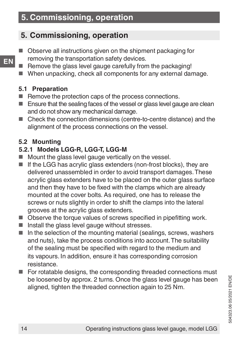## **5. Commissioning, operation**

- Observe all instructions given on the shipment packaging for removing the transportation safety devices.
- Bemove the glass level gauge carefully from the packaging!
- When unpacking, check all components for any external damage.

#### **5.1 Preparation**

- Remove the protection caps of the process connections.
- Ensure that the sealing faces of the vessel or glass level gauge are clean and do not show any mechanical damage.
- Check the connection dimensions (centre-to-centre distance) and the alignment of the process connections on the vessel.

#### **5.2 Mounting**

#### **5.2.1 Models LGG-R, LGG-T, LGG-M**

- Mount the glass level gauge vertically on the vessel.
- If the LGG has acrylic glass extenders (non-frost blocks), they are delivered unassembled in order to avoid transport damages. These acrylic glass extenders have to be placed on the outer glass surface and then they have to be fixed with the clamps which are already mounted at the cover bolts. As required, one has to release the screws or nuts slightly in order to shift the clamps into the lateral grooves at the acrylic glass extenders.
- Observe the torque values of screws specified in pipefitting work.
- Install the glass level gauge without stresses.
- $\blacksquare$  In the selection of the mounting material (sealings, screws, washers and nuts), take the process conditions into account. The suitability of the sealing must be specified with regard to the medium and its vapours. In addition, ensure it has corresponding corrosion resistance.
- For rotatable designs, the corresponding threaded connections must be loosened by approx. 2 turns. Once the glass level gauge has been aligned, tighten the threaded connection again to 25 Nm.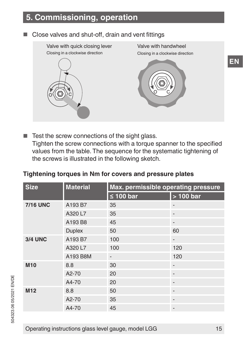■ Close valves and shut-off, drain and vent fittings



■ Test the screw connections of the sight glass. Tighten the screw connections with a torque spanner to the specified values from the table. The sequence for the systematic tightening of the screws is illustrated in the following sketch.

#### **Tightening torques in Nm for covers and pressure plates**

| <b>Size</b>     | <b>Material</b> | Max. permissible operating pressure |            |
|-----------------|-----------------|-------------------------------------|------------|
|                 |                 | $\leq 100$ bar                      | $>100$ bar |
| <b>7/16 UNC</b> | A193 B7         | 35                                  |            |
|                 | A320 L7         | 35                                  |            |
|                 | A193 B8         | 45                                  |            |
|                 | <b>Duplex</b>   | 50                                  | 60         |
| <b>3/4 UNC</b>  | A193 B7         | 100                                 |            |
|                 | A320 L7         | 100                                 | 120        |
|                 | A193 B8M        |                                     | 120        |
| M <sub>10</sub> | 8.8             | 30                                  |            |
|                 | A2-70           | 20                                  |            |
|                 | A4-70           | 20                                  |            |
| M <sub>12</sub> | 8.8             | 50                                  |            |
|                 | A2-70           | 35                                  |            |
|                 | A4-70           | 45                                  |            |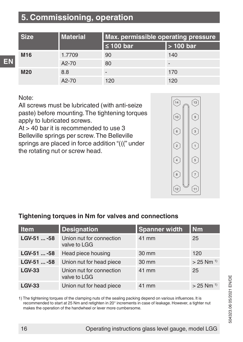|  | <b>Size</b>     | <b>Material</b>    | Max. permissible operating pressure |            |
|--|-----------------|--------------------|-------------------------------------|------------|
|  |                 |                    | $\leq 100$ bar                      | $>100$ bar |
|  | M <sub>16</sub> | 1.7709             | 90                                  | 140        |
|  |                 | A <sub>2</sub> -70 | 80                                  | $\,$       |
|  | <b>M20</b>      | 8.8                | -                                   | 170        |
|  |                 | A <sub>2</sub> -70 | 120                                 | 120        |

#### Note:

**EN**

All screws must be lubricated (with anti-seize paste) before mounting. The tightening torques apply to lubricated screws.

 $At < 40$  bar it is recommended to use 3 Belleville springs per screw. The Belleville springs are placed in force addition "(((" under the rotating nut or screw head.



#### **Tightening torques in Nm for valves and connections**

| <b>Item</b>   | <b>Designation</b>                       | <b>Spanner width</b> | <b>Nm</b>               |
|---------------|------------------------------------------|----------------------|-------------------------|
| LGV-51  -58   | Union nut for connection<br>valve to LGG | 41 mm                | 25                      |
| LGV-51  -58   | Head piece housing                       | 30 mm                | 120                     |
| LGV-51  -58   | Union nut for head piece                 | 30 mm                | $> 25$ Nm <sup>1)</sup> |
| <b>LGV-33</b> | Union nut for connection<br>valve to LGG | 41 mm                | 25                      |
| <b>LGV-33</b> | Union nut for head piece                 | 41 mm                | $> 25$ Nm <sup>1)</sup> |

1) The tightening torques of the clamping nuts of the sealing packing depend on various influences. It is recommended to start at 25 Nm and retighten in 20° increments in case of leakage. However, a tighter nut makes the operation of the handwheel or lever more cumbersome.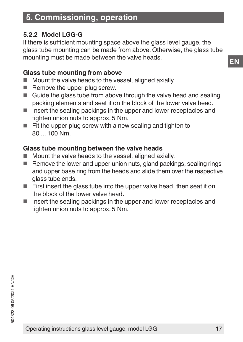#### **5.2.2 Model LGG-G**

If there is sufficient mounting space above the glass level gauge, the glass tube mounting can be made from above. Otherwise, the glass tube mounting must be made between the valve heads.

#### **Glass tube mounting from above**

- Mount the valve heads to the vessel, aligned axially.
- Remove the upper plug screw.
- Guide the glass tube from above through the valve head and sealing packing elements and seat it on the block of the lower valve head.
- Insert the sealing packings in the upper and lower receptacles and tighten union nuts to approx. 5 Nm.
- Fit the upper plug screw with a new sealing and tighten to 80 ... 100 Nm.

#### **Glass tube mounting between the valve heads**

- Mount the valve heads to the vessel, aligned axially.
- Remove the lower and upper union nuts, gland packings, sealing rings and upper base ring from the heads and slide them over the respective glass tube ends.
- First insert the glass tube into the upper valve head, then seat it on the block of the lower valve head.
- Insert the sealing packings in the upper and lower receptacles and tighten union nuts to approx. 5 Nm.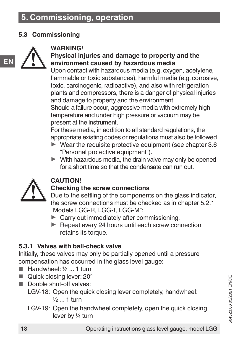#### **5.3 Commissioning**



#### **WARNING**!

#### **Physical injuries and damage to property and the environment caused by hazardous media**

Upon contact with hazardous media (e.g. oxygen, acetylene, flammable or toxic substances), harmful media (e.g. corrosive, toxic, carcinogenic, radioactive), and also with refrigeration plants and compressors, there is a danger of physical injuries and damage to property and the environment.

Should a failure occur, aggressive media with extremely high temperature and under high pressure or vacuum may be present at the instrument.

For these media, in addition to all standard regulations, the appropriate existing codes or regulations must also be followed.

- $\blacktriangleright$  Wear the requisite protective equipment (see chapter 3.6) "Personal protective equipment").
- $\triangleright$  With hazardous media, the drain valve may only be opened for a short time so that the condensate can run out.



#### **CAUTION!**

#### **Checking the screw connections**

Due to the settling of the components on the glass indicator, the screw connections must be checked as in chapter 5.2.1 "Models LGG-R, LGG-T, LGG-M":

- $\triangleright$  Carry out immediately after commissioning.
- ▶ Repeat every 24 hours until each screw connection retains its torque.

#### **5.3.1 Valves with ball-check valve**

Initially, these valves may only be partially opened until a pressure compensation has occurred in the glass level gauge:

- Handwheel: 1/2 ... 1 turn
- Quick closing lever: 20°
- Double shut-off valves:
	- LGV-18: Open the quick closing lever completely, handwheel: ½ ... 1 turn
	- LGV-19: Open the handwheel completely, open the quick closing lever by ¼ turn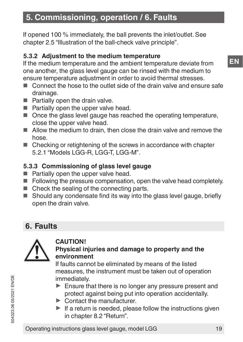## **5. Commissioning, operation / 6. Faults**

If opened 100 % immediately, the ball prevents the inlet/outlet. See chapter 2.5 "Illustration of the ball-check valve principle".

#### **5.3.2 Adjustment to the medium temperature**

If the medium temperature and the ambient temperature deviate from one another, the glass level gauge can be rinsed with the medium to ensure temperature adjustment in order to avoid thermal stresses.

- Connect the hose to the outlet side of the drain valve and ensure safe drainage.
- Partially open the drain valve.
- Partially open the upper valve head.
- Once the glass level gauge has reached the operating temperature, close the upper valve head.
- Allow the medium to drain, then close the drain valve and remove the hose.
- Checking or retightening of the screws in accordance with chapter 5.2.1 "Models LGG-R, LGG-T, LGG-M".

#### **5.3.3 Commissioning of glass level gauge**

- Partially open the upper valve head.
- Following the pressure compensation, open the valve head completely.
- Check the sealing of the connecting parts.
- Should any condensate find its way into the glass level gauge, briefly open the drain valve.

## **6. Faults**



#### **CAUTION! Physical injuries and damage to property and the environment**

If faults cannot be eliminated by means of the listed measures, the instrument must be taken out of operation immediately.

- $\blacktriangleright$  Ensure that there is no longer any pressure present and protect against being put into operation accidentally.
- $\blacktriangleright$  Contact the manufacturer.
- $\blacktriangleright$  If a return is needed, please follow the instructions given in chapter 8.2 "Return".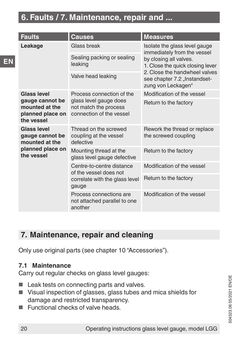## **6. Faults / 7. Maintenance, repair and ...**

| <b>Faults</b>                                                       | <b>Causes</b>                                                               | <b>Measures</b>                                                                           |
|---------------------------------------------------------------------|-----------------------------------------------------------------------------|-------------------------------------------------------------------------------------------|
| Leakage                                                             | Glass break                                                                 | Isolate the glass level gauge                                                             |
|                                                                     | Sealing packing or sealing<br>leaking                                       | immediately from the vessel<br>by closing all valves.<br>1. Close the quick closing lever |
|                                                                     | Valve head leaking                                                          | 2. Close the handwheel valves<br>see chapter 7.2 "Instandset-<br>zung von Leckagen"       |
| <b>Glass level</b>                                                  | Process connection of the                                                   | Modification of the vessel                                                                |
| gauge cannot be<br>mounted at the<br>planned place on<br>the vessel | glass level gauge does<br>not match the process<br>connection of the vessel | Return to the factory                                                                     |
| Glass level<br>qauge cannot be<br>mounted at the                    | Thread on the screwed<br>coupling at the vessel<br>defective                | Rework the thread or replace<br>the screwed coupling                                      |
| planned place on<br>the vessel                                      | Mounting thread at the<br>glass level gauge defective                       | Return to the factory                                                                     |
|                                                                     | Centre-to-centre distance<br>of the vessel does not                         | Modification of the vessel                                                                |
|                                                                     | correlate with the glass level<br>gauge                                     | Return to the factory                                                                     |
|                                                                     | Process connections are<br>not attached parallel to one<br>another          | Modification of the vessel                                                                |

## **7. Maintenance, repair and cleaning**

Only use original parts (see chapter 10 "Accessories").

#### **7.1 Maintenance**

Carry out regular checks on glass level gauges:

- Leak tests on connecting parts and valves.
- Visual inspection of glasses, glass tubes and mica shields for damage and restricted transparency.
- Functional checks of valve heads.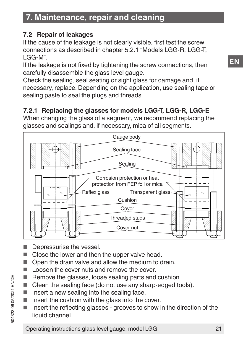#### **7.2 Repair of leakages**

If the cause of the leakage is not clearly visible, first test the screw connections as described in chapter 5.2.1 "Models LGG-R, LGG-T, LGG-M".

If the leakage is not fixed by tightening the screw connections, then carefully disassemble the glass level gauge.

Check the sealing, seal seating or sight glass for damage and, if necessary, replace. Depending on the application, use sealing tape or sealing paste to seal the plugs and threads.

## **7.2.1 Replacing the glasses for models LGG-T, LGG-R, LGG-E**

When changing the glass of a segment, we recommend replacing the glasses and sealings and, if necessary, mica of all segments.



- Depressurise the vessel.
- Close the lower and then the upper valve head.
- Open the drain valve and allow the medium to drain.
- Loosen the cover nuts and remove the cover.
- Remove the glasses, loose sealing parts and cushion.
- Clean the sealing face (do not use any sharp-edged tools).
- Insert a new sealing into the sealing face.
- Insert the cushion with the glass into the cover.
- Insert the reflecting glasses grooves to show in the direction of the liquid channel.

Operating instructions glass level gauge, model LGG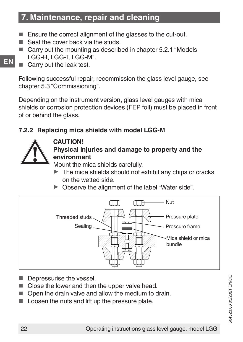- Ensure the correct alignment of the glasses to the cut-out.
- Seat the cover back via the studs.
- Carry out the mounting as described in chapter 5.2.1 "Models LGG-R, LGG-T, LGG-M".
- Carry out the leak test.

Following successful repair, recommission the glass level gauge, see chapter 5.3 "Commissioning".

Depending on the instrument version, glass level gauges with mica shields or corrosion protection devices (FEP foil) must be placed in front of or behind the glass.

## **7.2.2 Replacing mica shields with model LGG-M**



**CAUTION! Physical injuries and damage to property and the environment**

Mount the mica shields carefully.

- $\blacktriangleright$  The mica shields should not exhibit any chips or cracks on the wetted side.
- ▶ Observe the alignment of the label "Water side".



- Depressurise the vessel.
- Close the lower and then the upper valve head.
- Open the drain valve and allow the medium to drain.
- Loosen the nuts and lift up the pressure plate.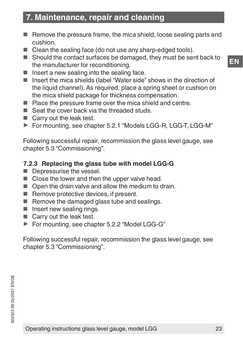- Remove the pressure frame, the mica shield, loose sealing parts and cushion.
- Clean the sealing face (do not use any sharp-edged tools).
- Should the contact surfaces be damaged, they must be sent back to the manufacturer for reconditioning.
- Insert a new sealing into the sealing face.
- Insert the mica shields (label "Water side" shows in the direction of the liquid channel). As required, place a spring sheet or cushion on the mica shield package for thickness compensation.
- Place the pressure frame over the mica shield and centre.
- Seat the cover back via the threaded studs.
- Carry out the leak test.
- ▶ For mounting, see chapter 5.2.1 "Models LGG-R, LGG-T, LGG-M"

Following successful repair, recommission the glass level gauge, see chapter 5.3 "Commissioning".

#### **7.2.3 Replacing the glass tube with model LGG-G**

- Depressurise the vessel.
- Close the lower and then the upper valve head.
- Open the drain valve and allow the medium to drain.
- Remove protective devices, if present.
- Remove the damaged glass tube and sealings.
- Insert new sealing rings.
- Carry out the leak test.
- ▶ For mounting, see chapter 5.2.2 "Model LGG-G"

Following successful repair, recommission the glass level gauge, see chapter 5.3 "Commissioning".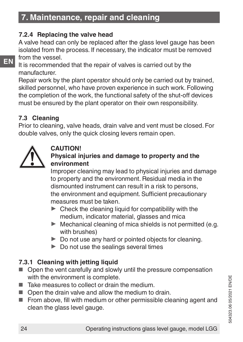#### **7.2.4 Replacing the valve head**

A valve head can only be replaced after the glass level gauge has been isolated from the process. If necessary, the indicator must be removed from the vessel.

It is recommended that the repair of valves is carried out by the manufacturer.

Repair work by the plant operator should only be carried out by trained, skilled personnel, who have proven experience in such work. Following the completion of the work, the functional safety of the shut-off devices must be ensured by the plant operator on their own responsibility.

## **7.3 Cleaning**

**EN**

Prior to cleaning, valve heads, drain valve and vent must be closed. For double valves, only the quick closing levers remain open.



#### **CAUTION!**

## **Physical injuries and damage to property and the environment**

Improper cleaning may lead to physical injuries and damage to property and the environment. Residual media in the dismounted instrument can result in a risk to persons, the environment and equipment. Sufficient precautionary measures must be taken.

- $\blacktriangleright$  Check the cleaning liquid for compatibility with the medium, indicator material, glasses and mica
- $\blacktriangleright$  Mechanical cleaning of mica shields is not permitted (e.g. with brushes)
- ▶ Do not use any hard or pointed objects for cleaning.
- $\triangleright$  Do not use the sealings several times

## **7.3.1 Cleaning with jetting liquid**

- Open the vent carefully and slowly until the pressure compensation with the environment is complete.
- Take measures to collect or drain the medium.
- Open the drain valve and allow the medium to drain.
- From above, fill with medium or other permissible cleaning agent and clean the glass level gauge.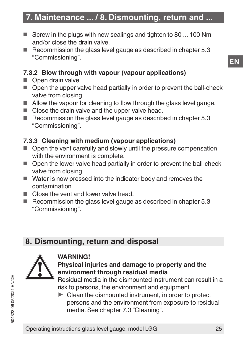## **7. Maintenance ... / 8. Dismounting, return and ...**

- Screw in the plugs with new sealings and tighten to 80 ... 100 Nm and/or close the drain valve.
- Recommission the glass level gauge as described in chapter 5.3 "Commissioning".

#### **7.3.2 Blow through with vapour (vapour applications)**

- Open drain valve.
- Open the upper valve head partially in order to prevent the ball-check valve from closing
- Allow the vapour for cleaning to flow through the glass level gauge.
- Close the drain valve and the upper valve head.
- Recommission the glass level gauge as described in chapter 5.3 "Commissioning".

#### **7.3.3 Cleaning with medium (vapour applications)**

- Open the vent carefully and slowly until the pressure compensation with the environment is complete.
- Open the lower valve head partially in order to prevent the ball-check valve from closing
- Water is now pressed into the indicator body and removes the contamination
- Close the vent and lower valve head.
- Recommission the glass level gauge as described in chapter 5.3 "Commissioning".

## **8. Dismounting, return and disposal**



#### **WARNING!**

**Physical injuries and damage to property and the environment through residual media**

Residual media in the dismounted instrument can result in a risk to persons, the environment and equipment.

 $\blacktriangleright$  Clean the dismounted instrument, in order to protect persons and the environment from exposure to residual media. See chapter 7.3 "Cleaning".

Operating instructions glass level gauge, model LGG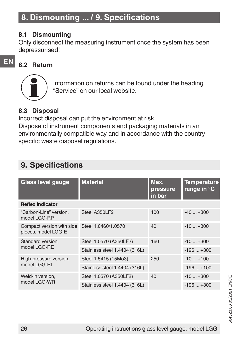## **8. Dismounting ... / 9. Specifications**

#### **8.1 Dismounting**

Only disconnect the measuring instrument once the system has been depressurised!

## **8.2 Return**

**EN**



Information on returns can be found under the heading "Service" on our local website.

#### **8.3 Disposal**

Incorrect disposal can put the environment at risk.

Dispose of instrument components and packaging materials in an environmentally compatible way and in accordance with the countryspecific waste disposal regulations.

## **9. Specifications**

| <b>Glass level gauge</b>                         | <b>Material</b>               | Max.<br>pressure<br>in bar | <b>Temperature</b><br>range in °C |
|--------------------------------------------------|-------------------------------|----------------------------|-----------------------------------|
| <b>Reflex indicator</b>                          |                               |                            |                                   |
| "Carbon-Line" version.<br>model LGG-RP           | Steel A350LF2                 | 100                        | $-40+300$                         |
| Compact version with side<br>pieces, model LGG-E | Steel 1.0460/1.0570           | 40                         | $-10+300$                         |
| Standard version.                                | Steel 1.0570 (A350LF2)        | 160                        | $-10+300$                         |
| model LGG-RE                                     | Stainless steel 1.4404 (316L) |                            | $-196+300$                        |
| High-pressure version,                           | Steel 1.5415 (15Mo3)          | 250                        | $-10+100$                         |
| model LGG-RI                                     | Stainless steel 1.4404 (316L) |                            | $-196+100$                        |
| Weld-in version,                                 | Steel 1.0570 (A350LF2)        | 40                         | $-10+300$                         |
| model LGG-WR                                     | Stainless steel 1.4404 (316L) |                            | $-196+300$                        |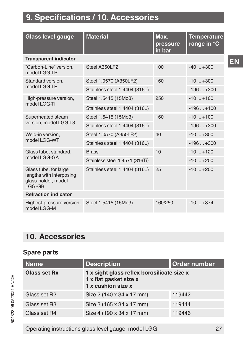# **9. Specifications / 10. Accessories**

| Glass level gauge                                                                    | <b>Material</b>                | Max.<br>pressure<br>in bar | <b>Temperature</b><br>range in °C |
|--------------------------------------------------------------------------------------|--------------------------------|----------------------------|-----------------------------------|
| <b>Transparent indicator</b>                                                         |                                |                            |                                   |
| "Carbon-Line" version.<br>model LGG-TP                                               | Steel A350LF2                  | 100                        | $-40 +300$                        |
| Standard version.                                                                    | Steel 1.0570 (A350LF2)         | 160                        | $-10+300$                         |
| model LGG-TE                                                                         | Stainless steel 1.4404 (316L)  |                            | $-196+300$                        |
| High-pressure version,<br>model LGG-TI                                               | Steel 1.5415 (15Mo3)           | 250                        | $-10+100$                         |
|                                                                                      | Stainless steel 1.4404 (316L)  |                            | $-196+100$                        |
| Superheated steam                                                                    | Steel 1.5415 (15Mo3)           | 160                        | $-10+100$                         |
| version, model LGG-T3                                                                | Stainless steel 1.4404 (316L)  |                            | $-196+300$                        |
| Weld-in version.                                                                     | Steel 1.0570 (A350LF2)         | 40                         | $-10+300$                         |
| model LGG-WT                                                                         | Stainless steel 1.4404 (316L)  |                            | $-196+300$                        |
| Glass tube, standard.                                                                | <b>Brass</b>                   | 10                         | $-10+120$                         |
| model LGG-GA                                                                         | Stainless steel 1.4571 (316Ti) |                            | $-10+200$                         |
| Glass tube, for large<br>lengths with interposing<br>glass-holder, model<br>$LGG-GB$ | Stainless steel 1.4404 (316L)  | 25                         | $-10+200$                         |
| <b>Refraction indicator</b>                                                          |                                |                            |                                   |
| Highest-pressure version,<br>model LGG-M                                             | Steel 1.5415 (15Mo3)           | 160/250                    | $-10+374$                         |

## **10. Accessories**

#### **Spare parts**

| <b>Name</b>  | <b>Description</b>                                                                         | <b>Order number</b> |
|--------------|--------------------------------------------------------------------------------------------|---------------------|
| Glass set Rx | 1 x sight glass reflex borosilicate size x<br>1 x flat gasket size x<br>1 x cushion size x |                     |
| Glass set R2 | Size 2 (140 x 34 x 17 mm)                                                                  | 119442              |
| Glass set R3 | Size 3 (165 x 34 x 17 mm)                                                                  | 119444              |
| Glass set R4 | Size 4 (190 x 34 x 17 mm)                                                                  | 119446              |

Operating instructions glass level gauge, model LGG

27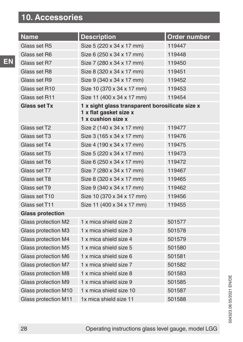# **10. Accessories**

| <b>Name</b>              | <b>Description</b>                                                                              | Order number |
|--------------------------|-------------------------------------------------------------------------------------------------|--------------|
| Glass set R5             | Size 5 (220 x 34 x 17 mm)                                                                       | 119447       |
| Glass set R6             | Size 6 (250 x 34 x 17 mm)                                                                       | 119448       |
| Glass set R7             | Size 7 (280 x 34 x 17 mm)                                                                       | 119450       |
| Glass set R8             | Size 8 (320 x 34 x 17 mm)                                                                       | 119451       |
| Glass set R9             | Size 9 (340 x 34 x 17 mm)                                                                       | 119452       |
| Glass set R10            | Size 10 (370 x 34 x 17 mm)                                                                      | 119453       |
| Glass set R11            | Size 11 (400 x 34 x 17 mm)                                                                      | 119454       |
| Glass set Tx             | 1 x sight glass transparent borosilicate size x<br>1 x flat gasket size x<br>1 x cushion size x |              |
| Glass set T2             | Size 2 (140 x 34 x 17 mm)                                                                       | 119477       |
| Glass set T <sub>3</sub> | Size 3 (165 x 34 x 17 mm)                                                                       | 119476       |
| Glass set T4             | Size 4 (190 x 34 x 17 mm)                                                                       | 119475       |
| Glass set T5             | Size 5 (220 x 34 x 17 mm)                                                                       | 119473       |
| Glass set T6             | Size 6 (250 x 34 x 17 mm)                                                                       | 119472       |
| Glass set T7             | Size 7 (280 x 34 x 17 mm)                                                                       | 119467       |
| Glass set T8             | Size 8 (320 x 34 x 17 mm)                                                                       | 119465       |
| Glass set T9             | Size 9 (340 x 34 x 17 mm)                                                                       | 119462       |
| Glass set T10            | Size 10 (370 x 34 x 17 mm)                                                                      | 119456       |
| Glass set T11            | Size 11 (400 x 34 x 17 mm)                                                                      | 119455       |
| <b>Glass protection</b>  |                                                                                                 |              |
| Glass protection M2      | 1 x mica shield size 2                                                                          | 501577       |
| Glass protection M3      | 1 x mica shield size 3                                                                          | 501578       |
| Glass protection M4      | 1 x mica shield size 4                                                                          | 501579       |
| Glass protection M5      | 1 x mica shield size 5                                                                          | 501580       |
| Glass protection M6      | 1 x mica shield size 6                                                                          | 501581       |
| Glass protection M7      | 1 x mica shield size 7                                                                          | 501582       |
| Glass protection M8      | 1 x mica shield size 8                                                                          | 501583       |
| Glass protection M9      | 1 x mica shield size 9                                                                          | 501585       |
| Glass protection M10     | 1 x mica shield size 10                                                                         | 501587       |
| Glass protection M11     | 1x mica shield size 11                                                                          | 501588       |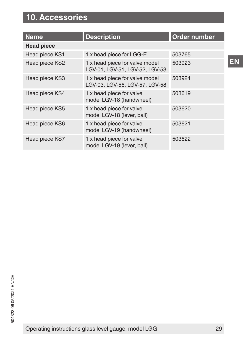# **10. Accessories**

| <b>Name</b>       | <b>Description</b>                                               | Order number |
|-------------------|------------------------------------------------------------------|--------------|
| <b>Head piece</b> |                                                                  |              |
| Head piece KS1    | 1 x head piece for LGG-E                                         | 503765       |
| Head piece KS2    | 1 x head piece for valve model<br>LGV-01, LGV-51, LGV-52, LGV-53 | 503923       |
| Head piece KS3    | 1 x head piece for valve model<br>LGV-03, LGV-56, LGV-57, LGV-58 | 503924       |
| Head piece KS4    | 1 x head piece for valve<br>model LGV-18 (handwheel)             | 503619       |
| Head piece KS5    | 1 x head piece for valve<br>model LGV-18 (lever, ball)           | 503620       |
| Head piece KS6    | 1 x head piece for valve<br>model LGV-19 (handwheel)             | 503621       |
| Head piece KS7    | 1 x head piece for valve<br>model LGV-19 (lever, ball)           | 503622       |

Operating instructions glass level gauge, model LGG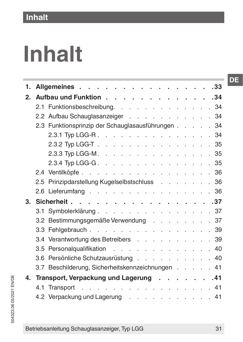# **Inhalt**

| 1. | Allgemeines 33                                    |  |  |     |
|----|---------------------------------------------------|--|--|-----|
| 2. | Aufbau und Funktion 34                            |  |  |     |
|    | 2.1 Funktionsbeschreibung. 34                     |  |  |     |
|    | 2.2 Aufbau Schauglasanzeiger 34                   |  |  |     |
|    | 2.3 Funktionsprinzip der Schauglasausführungen 34 |  |  |     |
|    | 2.3.1 Typ LGG-R 34                                |  |  |     |
|    | 2.3.2 Typ LGG-T 35                                |  |  |     |
|    | $2.3.3$ Typ LGG-M.                                |  |  | .35 |
|    | 2.3.4 Typ LGG-G. 35                               |  |  |     |
|    | 2.4 Ventilköpfe. 36                               |  |  |     |
|    | 2.5 Prinzipdarstellung Kugelselbstschluss 36      |  |  |     |
|    | 2.6 Lieferumfang 36                               |  |  |     |
| 3. | Sicherheit 37                                     |  |  |     |
|    | 3.1 Symbolerklärung. 37                           |  |  |     |
|    | 3.2 Bestimmungsgemäße Verwendung 37               |  |  |     |
|    | 3.3 Fehlgebrauch 39                               |  |  |     |
|    | 3.4 Verantwortung des Betreibers 39               |  |  |     |
|    | 3.5 Personalgualifikation 40                      |  |  |     |
|    | 3.6 Persönliche Schutzausrüstung 40               |  |  |     |
|    | 3.7 Beschilderung, Sicherheitskennzeichnungen 41  |  |  |     |
| 4  | Transport, Verpackung und Lagerung 41             |  |  |     |
|    | 4.1 Transport 41                                  |  |  |     |
|    | 4.2 Verpackung und Lagerung 41                    |  |  |     |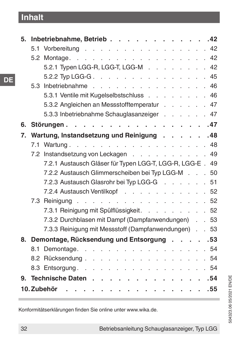## **Inhalt**

| 5. | Inbetriebnahme, Betrieb 42                               |  |
|----|----------------------------------------------------------|--|
|    | 5.1 Vorbereitung 42                                      |  |
|    | 5.2 Montage. 42                                          |  |
|    | 5.2.1 Typen LGG-R, LGG-T, LGG-M 42                       |  |
|    | 5.2.2 Typ LGG-G. 45                                      |  |
|    | 5.3 Inbetriebnahme 46                                    |  |
|    | 5.3.1 Ventile mit Kugelselbstschluss 46                  |  |
|    | 5.3.2 Angleichen an Messstofftemperatur 47               |  |
|    | 5.3.3 Inbetriebnahme Schauglasanzeiger 47                |  |
|    | 6. Störungen 47                                          |  |
|    | 7. Wartung, Instandsetzung und Reinigung 48              |  |
|    | 7.1 Wartung. 48                                          |  |
|    | 7.2 Instandsetzung von Leckagen 49                       |  |
|    | 7.2.1 Austausch Gläser für Typen LGG-T, LGG-R, LGG-E. 49 |  |
|    | 7.2.2 Austausch Glimmerscheiben bei Typ LGG-M 50         |  |
|    | 7.2.3 Austausch Glasrohr bei Typ LGG-G.   51             |  |
|    | 7.2.4 Austausch Ventilkopf52                             |  |
|    | 7.3 Reinigung 52                                         |  |
|    | 7.3.1 Reinigung mit Spülflüssigkeit. 52                  |  |
|    | 7.3.2 Durchblasen mit Dampf (Dampfanwendungen) 53        |  |
|    | 7.3.3 Reinigung mit Messstoff (Dampfanwendungen) 53      |  |
|    | 8. Demontage, Rücksendung und Entsorgung 53              |  |
|    | 8.1 Demontage. 54                                        |  |
|    | 8.2 Rücksendung 54                                       |  |
|    | 8.3 Entsorgung. 54                                       |  |
|    | 9. Technische Daten<br>. 54                              |  |
|    | 10. Zubehör. 55                                          |  |
|    |                                                          |  |

Konformitätserklärungen finden Sie online unter www.wika.de.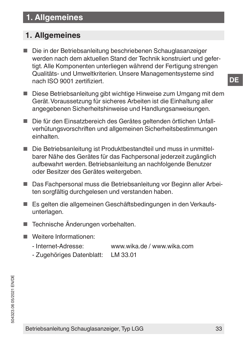# **1. Allgemeines**

## **1. Allgemeines**

- Die in der Betriebsanleitung beschriebenen Schauglasanzeiger werden nach dem aktuellen Stand der Technik konstruiert und gefertigt. Alle Komponenten unterliegen während der Fertigung strengen Qualitäts- und Umweltkriterien. Unsere Managementsysteme sind nach ISO 9001 zertifiziert.
- Diese Betriebsanleitung gibt wichtige Hinweise zum Umgang mit dem Gerät. Voraussetzung für sicheres Arbeiten ist die Einhaltung aller angegebenen Sicherheitshinweise und Handlungsanweisungen.
- Die für den Einsatzbereich des Gerätes geltenden örtlichen Unfallverhütungsvorschriften und allgemeinen Sicherheitsbestimmungen einhalten.
- Die Betriebsanleitung ist Produktbestandteil und muss in unmittelbarer Nähe des Gerätes für das Fachpersonal jederzeit zugänglich aufbewahrt werden. Betriebsanleitung an nachfolgende Benutzer oder Besitzer des Gerätes weitergeben.
- Das Fachpersonal muss die Betriebsanleitung vor Beginn aller Arbeiten sorgfältig durchgelesen und verstanden haben.
- Es gelten die allgemeinen Geschäftsbedingungen in den Verkaufsunterlagen.
- Technische Änderungen vorbehalten.
- Weitere Informationen:
	- Internet-Adresse: www.wika.de / www.wika.com
	- Zugehöriges Datenblatt: LM 33.01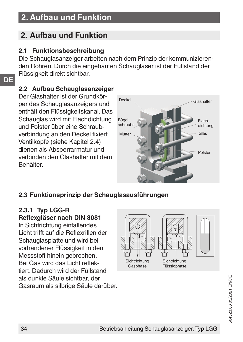## **2. Aufbau und Funktion**

## **2. Aufbau und Funktion**

## **2.1 Funktionsbeschreibung**

**DE**

Die Schauglasanzeiger arbeiten nach dem Prinzip der kommunizierenden Röhren. Durch die eingebauten Schaugläser ist der Füllstand der Flüssigkeit direkt sichtbar.

## **2.2 Aufbau Schauglasanzeiger**

Der Glashalter ist der Grundkörper des Schauglasanzeigers und enthält den Flüssigkeitskanal. Das Schauglas wird mit Flachdichtung und Polster über eine Schraubverbindung an den Deckel fixiert. Ventilköpfe (siehe Kapitel 2.4) dienen als Absperrarmatur und verbinden den Glashalter mit dem Behälter.



## **2.3 Funktionsprinzip der Schauglasausführungen**

#### **2.3.1 Typ LGG-R Reflexgläser nach DIN 8081**

In Sichtrichtung einfallendes Licht trifft auf die Reflexrillen der Schauglasplatte und wird bei vorhandener Flüssigkeit in den Messstoff hinein gebrochen. Bei Gas wird das Licht reflektiert. Dadurch wird der Füllstand als dunkle Säule sichtbar, der Gasraum als silbrige Säule darüber.

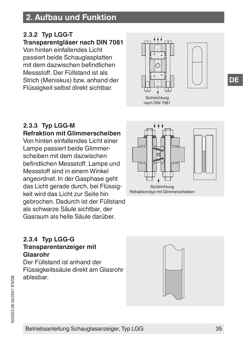# **2. Aufbau und Funktion**

## **2.3.2 Typ LGG-T**

## **Transparentgläser nach DIN 7081**

Von hinten einfallendes Licht passiert beide Schauglasplatten mit dem dazwischen befindlichen Messstoff. Der Füllstand ist als Strich (Meniskus) bzw. anhand der Flüssigkeit selbst direkt sichtbar.



#### **2.3.3 Typ LGG-M Refraktion mit Glimmerscheiben**

Von hinten einfallendes Licht einer Lampe passiert beide Glimmerscheiben mit dem dazwischen befindlichen Messstoff. Lampe und Messstoff sind in einem Winkel angeordnet. In der Gasphase geht das Licht gerade durch, bei Flüssigkeit wird das Licht zur Seite hin gebrochen. Dadurch ist der Füllstand als schwarze Säule sichtbar, der Gasraum als helle Säule darüber.



## Refraktionstyp mit Glimmerscheiben

#### **2.3.4 Typ LGG-G Transparentanzeiger mit Glasrohr**

Der Füllstand ist anhand der Flüssigkeitssäule direkt am Glasrohr ablesbar.

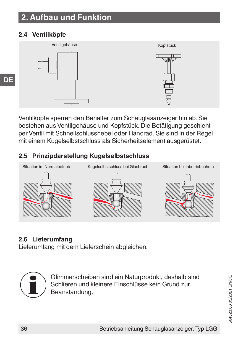## **2. Aufbau und Funktion**

#### **2.4 Ventilköpfe**



Ventilköpfe sperren den Behälter zum Schauglasanzeiger hin ab. Sie bestehen aus Ventilgehäuse und Kopfstück. Die Betätigung geschieht per Ventil mit Schnellschlusshebel oder Handrad. Sie sind in der Regel mit einem Kugelselbstschluss als Sicherheitselement ausgerüstet.

## **2.5 Prinzipdarstellung Kugelselbstschluss**



#### **2.6 Lieferumfang**

Lieferumfang mit dem Lieferschein abgleichen.



Glimmerscheiben sind ein Naturprodukt, deshalb sind Schlieren und kleinere Einschlüsse kein Grund zur Beanstandung.

504323.06 05/2021 EN/DE 504323.06 05/2021 EN/DE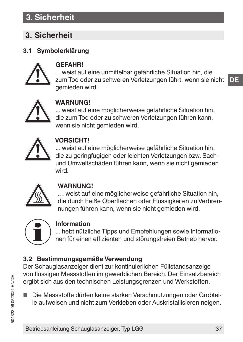## **3. Sicherheit**

#### **3.1 Symbolerklärung**



## **GEFAHR!**

... weist auf eine unmittelbar gefährliche Situation hin, die zum Tod oder zu schweren Verletzungen führt, wenn sie nicht gemieden wird.



## **WARNUNG!**

... weist auf eine möglicherweise gefährliche Situation hin, die zum Tod oder zu schweren Verletzungen führen kann, wenn sie nicht gemieden wird.



## **VORSICHT!**

... weist auf eine möglicherweise gefährliche Situation hin, die zu geringfügigen oder leichten Verletzungen bzw. Sachund Umweltschäden führen kann, wenn sie nicht gemieden wird.



#### **WARNUNG!**

… weist auf eine möglicherweise gefährliche Situation hin, die durch heiße Oberflächen oder Flüssigkeiten zu Verbrennungen führen kann, wenn sie nicht gemieden wird.



#### **Information**

... hebt nützliche Tipps und Empfehlungen sowie Informationen für einen effizienten und störungsfreien Betrieb hervor.

#### **3.2 Bestimmungsgemäße Verwendung**

Der Schauglasanzeiger dient zur kontinuierlichen Füllstandsanzeige von flüssigen Messstoffen im gewerblichen Bereich. Der Einsatzbereich ergibt sich aus den technischen Leistungsgrenzen und Werkstoffen.

■ Die Messstoffe dürfen keine starken Verschmutzungen oder Grobteile aufweisen und nicht zum Verkleben oder Auskristallisieren neigen. **DE**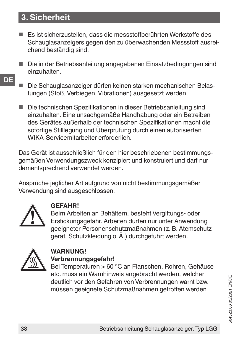- Es ist sicherzustellen, dass die messstoffberührten Werkstoffe des Schauglasanzeigers gegen den zu überwachenden Messstoff ausreichend beständig sind.
- Die in der Betriebsanleitung angegebenen Einsatzbedingungen sind einzuhalten.
- Die Schauglasanzeiger dürfen keinen starken mechanischen Belastungen (Stoß, Verbiegen, Vibrationen) ausgesetzt werden.
- Die technischen Spezifikationen in dieser Betriebsanleitung sind einzuhalten. Eine unsachgemäße Handhabung oder ein Betreiben des Gerätes außerhalb der technischen Spezifikationen macht die sofortige Stilllegung und Überprüfung durch einen autorisierten WIKA-Servicemitarbeiter erforderlich.

Das Gerät ist ausschließlich für den hier beschriebenen bestimmungsgemäßen Verwendungszweck konzipiert und konstruiert und darf nur dementsprechend verwendet werden.

Ansprüche jeglicher Art aufgrund von nicht bestimmungsgemäßer Verwendung sind ausgeschlossen.



#### **GEFAHR!**

Beim Arbeiten an Behältern, besteht Vergiftungs- oder Erstickungsgefahr. Arbeiten dürfen nur unter Anwendung geeigneter Personenschutzmaßnahmen (z. B. Atemschutzgerät, Schutzkleidung o. Ä.) durchgeführt werden.



# **WARNUNG!**

#### **Verbrennungsgefahr!**

Bei Temperaturen > 60 °C an Flanschen, Rohren, Gehäuse etc. muss ein Warnhinweis angebracht werden, welcher deutlich vor den Gefahren von Verbrennungen warnt bzw. müssen geeignete Schutzmaßnahmen getroffen werden.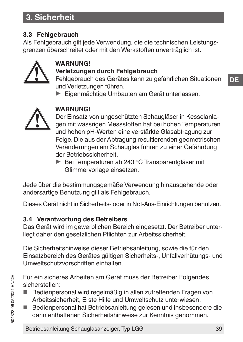## **3.3 Fehlgebrauch**

Als Fehlgebrauch gilt jede Verwendung, die die technischen Leistungsgrenzen überschreitet oder mit den Werkstoffen unverträglich ist.



#### **WARNUNG! Verletzungen durch Fehlgebrauch**

Fehlgebrauch des Gerätes kann zu gefährlichen Situationen und Verletzungen führen.

▶ Eigenmächtige Umbauten am Gerät unterlassen.



## **WARNUNG!**

Der Einsatz von ungeschützten Schaugläser in Kesselanlagen mit wässrigen Messstoffen hat bei hohen Temperaturen und hohen pH-Werten eine verstärkte Glasabtragung zur Folge. Die aus der Abtragung resultierenden geometrischen Veränderungen am Schauglas führen zu einer Gefährdung der Betriebssicherheit.

▶ Bei Temperaturen ab 243 °C Transparentgläser mit Glimmervorlage einsetzen.

Jede über die bestimmungsgemäße Verwendung hinausgehende oder andersartige Benutzung gilt als Fehlgebrauch.

Dieses Gerät nicht in Sicherheits- oder in Not-Aus-Einrichtungen benutzen.

#### **3.4 Verantwortung des Betreibers**

Das Gerät wird im gewerblichen Bereich eingesetzt. Der Betreiber unterliegt daher den gesetzlichen Pflichten zur Arbeitssicherheit.

Die Sicherheitshinweise dieser Betriebsanleitung, sowie die für den Einsatzbereich des Gerätes gültigen Sicherheits-, Unfallverhütungs- und Umweltschutzvorschriften einhalten.

Für ein sicheres Arbeiten am Gerät muss der Betreiber Folgendes sicherstellen:

- Bedienpersonal wird regelmäßig in allen zutreffenden Fragen von Arbeitssicherheit, Erste Hilfe und Umweltschutz unterwiesen.
- Bedienpersonal hat Betriebsanleitung gelesen und insbesondere die darin enthaltenen Sicherheitshinweise zur Kenntnis genommen.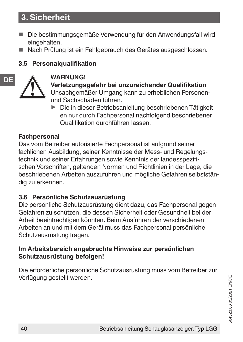- Die bestimmungsgemäße Verwendung für den Anwendungsfall wird eingehalten.
- Nach Prüfung ist ein Fehlgebrauch des Gerätes ausgeschlossen.

#### **3.5 Personalqualifikation**



**DE**

#### **WARNUNG!**

**Verletzungsgefahr bei unzureichender Qualifikation** Unsachgemäßer Umgang kann zu erheblichen Personenund Sachschäden führen.

▶ Die in dieser Betriebsanleitung beschriebenen Tätigkeiten nur durch Fachpersonal nachfolgend beschriebener Qualifikation durchführen lassen.

#### **Fachpersonal**

Das vom Betreiber autorisierte Fachpersonal ist aufgrund seiner fachlichen Ausbildung, seiner Kenntnisse der Mess- und Regelungstechnik und seiner Erfahrungen sowie Kenntnis der landesspezifischen Vorschriften, geltenden Normen und Richtlinien in der Lage, die beschriebenen Arbeiten auszuführen und mögliche Gefahren selbstständig zu erkennen.

#### **3.6 Persönliche Schutzausrüstung**

Die persönliche Schutzausrüstung dient dazu, das Fachpersonal gegen Gefahren zu schützen, die dessen Sicherheit oder Gesundheit bei der Arbeit beeinträchtigen könnten. Beim Ausführen der verschiedenen Arbeiten an und mit dem Gerät muss das Fachpersonal persönliche Schutzausrüstung tragen.

#### **Im Arbeitsbereich angebrachte Hinweise zur persönlichen Schutzausrüstung befolgen!**

Die erforderliche persönliche Schutzausrüstung muss vom Betreiber zur Verfügung gestellt werden.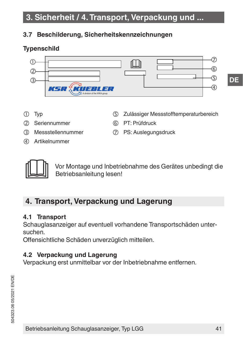# **3. Sicherheit / 4. Transport, Verpackung und ...**

## **3.7 Beschilderung, Sicherheitskennzeichnungen**

## **Typenschild**



**DE**

- 
- 
- 3 Messstellennummer (7) PS: Auslegungsdruck
- Artikelnummer
- Typ Zulässiger Messstofftemperaturbereich
- Seriennummer PT: Prüfdruck
	-



Vor Montage und Inbetriebnahme des Gerätes unbedingt die Betriebsanleitung lesen!

## **4. Transport, Verpackung und Lagerung**

#### **4.1 Transport**

Schauglasanzeiger auf eventuell vorhandene Transportschäden untersuchen.

Offensichtliche Schäden unverzüglich mitteilen.

#### **4.2 Verpackung und Lagerung**

Verpackung erst unmittelbar vor der Inbetriebnahme entfernen.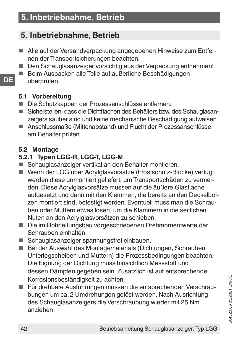## **5. Inbetriebnahme, Betrieb**

- Alle auf der Versandverpackung angegebenen Hinweise zum Entfernen der Transportsicherungen beachten.
- Den Schauglasanzeiger vorsichtig aus der Verpackung entnehmen!
- Beim Auspacken alle Teile auf äußerliche Beschädigungen überprüfen.

#### **5.1 Vorbereitung**

- Die Schutzkappen der Prozessanschlüsse entfernen.
- Sicherstellen, dass die Dichtflächen des Behälters bzw. des Schauglasanzeigers sauber sind und keine mechanische Beschädigung aufweisen.
- Anschlussmaße (Mittenabstand) und Flucht der Prozessanschlüsse am Behälter prüfen.

#### **5.2 Montage**

#### **5.2.1 Typen LGG-R, LGG-T, LGG-M**

- Schauglasanzeiger vertikal an den Behälter montieren.
- Wenn der LGG über Acrylglasvorsätze (Frostschutz-Blöcke) verfügt, werden diese unmontiert geliefert, um Transportschäden zu vermeiden. Diese Acrylglasvorsätze müssen auf die äußere Glasfläche aufgesetzt und dann mit den Klemmen, die bereits an den Deckelbolzen montiert sind, befestigt werden. Eventuell muss man die Schrauben oder Muttern etwas lösen, um die Klammern in die seitlichen Nuten an den Acrylglasvorsätzen zu schieben.
- Die im Rohrleitungsbau vorgeschriebenen Drehmomentwerte der Schrauben einhalten.
- Schauglasanzeiger spannungsfrei einbauen.
- Bei der Auswahl des Montagematerials (Dichtungen, Schrauben, Unterlegscheiben und Muttern) die Prozessbedingungen beachten. Die Eignung der Dichtung muss hinsichtlich Messstoff und dessen Dämpfen gegeben sein. Zusätzlich ist auf entsprechende Korrosionsbeständigkeit zu achten.
- Für drehbare Ausführungen müssen die entsprechenden Verschraubungen um ca. 2 Umdrehungen gelöst werden. Nach Ausrichtung des Schauglasanzeigers die Verschraubung wieder mit 25 Nm anziehen.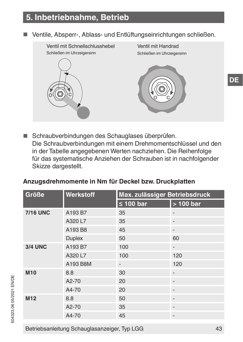

■ Schraubverbindungen des Schauglases überprüfen. Die Schraubverbindungen mit einem Drehmomentschlüssel und den in der Tabelle angegebenen Werten nachziehen. Die Reihenfolge für das systematische Anziehen der Schrauben ist in nachfolgender Skizze dargestellt.

| Anzugsdrehmomente in Nm für Deckel bzw. Druckplatten |  |  |  |  |
|------------------------------------------------------|--|--|--|--|
|------------------------------------------------------|--|--|--|--|

| Größe           | <b>Werkstoff</b> | Max. zulässiger Betriebsdruck |            |  |
|-----------------|------------------|-------------------------------|------------|--|
|                 |                  | ≤ 100 bar                     | $>100$ bar |  |
| <b>7/16 UNC</b> | A193 B7          | 35                            |            |  |
|                 | A320 L7          | 35                            |            |  |
|                 | A193 B8          | 45                            |            |  |
|                 | <b>Duplex</b>    | 50                            | 60         |  |
| <b>3/4 UNC</b>  | A193 B7          | 100                           |            |  |
|                 | A320 L7          | 100                           | 120        |  |
|                 | A193 B8M         | -                             | 120        |  |
| M <sub>10</sub> | 8.8              | 30                            |            |  |
|                 | A2-70            | 20                            |            |  |
|                 | A4-70            | 20                            |            |  |
| M <sub>12</sub> | 8.8              | 50                            |            |  |
|                 | A2-70            | 35                            |            |  |
|                 | A4-70            | 45                            |            |  |

**DE**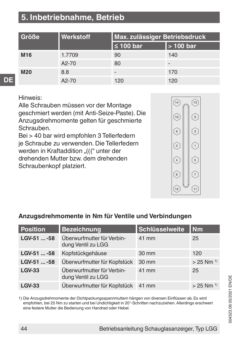| Größe           | <b>Werkstoff</b>   | Max. zulässiger Betriebsdruck |             |  |
|-----------------|--------------------|-------------------------------|-------------|--|
|                 |                    | $\leq 100$ bar                | l > 100 bar |  |
| M <sub>16</sub> | 1.7709             | 90                            | 140         |  |
|                 | $A2-70$            | 80                            |             |  |
| <b>M20</b>      | 8.8                |                               | 170         |  |
|                 | A <sub>2</sub> -70 | 120                           | 120         |  |

#### Hinweis:

Alle Schrauben müssen vor der Montage geschmiert werden (mit Anti-Seize-Paste). Die Anzugsdrehmomente gelten für geschmierte Schrauben.

Bei > 40 bar wird empfohlen 3 Tellerfedern je Schraube zu verwenden. Die Tellerfedern werden in Kraftaddition "(((" unter der drehenden Mutter bzw. dem drehenden Schraubenkopf platziert.



## **Anzugsdrehmomente in Nm für Ventile und Verbindungen**

| <b>Position</b> | <b>Bezeichnung</b>                               | <b>Schlüsselweite</b> | <b>Nm</b>               |
|-----------------|--------------------------------------------------|-----------------------|-------------------------|
| LGV-51  -58     | Überwurfmutter für Verbin-<br>dung Ventil zu LGG | 41 mm                 | 25                      |
| LGV-51  -58     | Kopfstückgehäuse                                 | 30 mm                 | 120                     |
| LGV-51  -58     | Überwurfmutter für Kopfstück                     | 30 mm                 | $> 25$ Nm <sup>1)</sup> |
| <b>LGV-33</b>   | Überwurfmutter für Verbin-<br>dung Ventil zu LGG | 41 mm                 | 25                      |
| <b>LGV-33</b>   | Überwurfmutter für Kopfstück                     | 41 mm                 | $> 25$ Nm <sup>1)</sup> |

1) Die Anzugsdrehmomente der Dichtpackungsspannmuttern hängen von diversen Einflüssen ab. Es wird empfohlen, bei 25 Nm zu starten und bei Undichtigkeit in 20°-Schritten nachzuziehen. Allerdings erschwert eine festere Mutter die Bedienung von Handrad oder Hebel.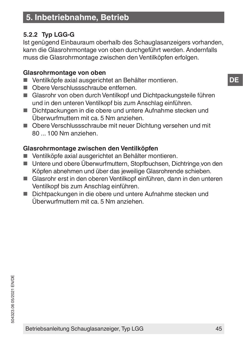#### **5.2.2 Typ LGG-G**

Ist genügend Einbauraum oberhalb des Schauglasanzeigers vorhanden, kann die Glasrohrmontage von oben durchgeführt werden. Andernfalls muss die Glasrohrmontage zwischen den Ventilköpfen erfolgen.

#### **Glasrohrmontage von oben**

- Ventilköpfe axial ausgerichtet an Behälter montieren.
- Obere Verschlussschraube entfernen.
- Glasrohr von oben durch Ventilkopf und Dichtpackungsteile führen und in den unteren Ventilkopf bis zum Anschlag einführen.
- Dichtpackungen in die obere und untere Aufnahme stecken und Überwurfmuttern mit ca. 5 Nm anziehen.
- Obere Verschlussschraube mit neuer Dichtung versehen und mit 80 ... 100 Nm anziehen.

#### **Glasrohrmontage zwischen den Ventilköpfen**

- Ventilköpfe axial ausgerichtet an Behälter montieren.
- Untere und obere Überwurfmuttern, Stopfbuchsen, Dichtringe von den Köpfen abnehmen und über das jeweilige Glasrohrende schieben.
- Glasrohr erst in den oberen Ventilkopf einführen, dann in den unteren Ventilkopf bis zum Anschlag einführen.
- Dichtpackungen in die obere und untere Aufnahme stecken und Überwurfmuttern mit ca. 5 Nm anziehen.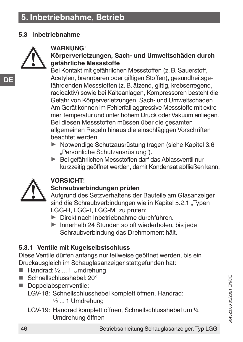#### **5.3 Inbetriebnahme**



#### **WARNUNG**! **Körperverletzungen, Sach- und Umweltschäden durch gefährliche Messstoffe**

Bei Kontakt mit gefährlichen Messstoffen (z. B. Sauerstoff, Acetylen, brennbaren oder giftigen Stoffen), gesundheitsgefährdenden Messstoffen (z. B. ätzend, giftig, krebserregend, radioaktiv) sowie bei Kälteanlagen, Kompressoren besteht die Gefahr von Körperverletzungen, Sach- und Umweltschäden. Am Gerät können im Fehlerfall aggressive Messstoffe mit extremer Temperatur und unter hohem Druck oder Vakuum anliegen. Bei diesen Messstoffen müssen über die gesamten allgemeinen Regeln hinaus die einschlägigen Vorschriften beachtet werden.

- ▶ Notwendige Schutzausrüstung tragen (siehe Kapitel 3.6 "Persönliche Schutzausrüstung").
- ▶ Bei gefährlichen Messstoffen darf das Ablassventil nur kurzzeitig geöffnet werden, damit Kondensat abfließen kann.



#### **VORSICHT**!

## **Schraubverbindungen prüfen**

Aufgrund des Setzverhaltens der Bauteile am Glasanzeiger sind die Schraubverbindungen wie in Kapitel 5.2.1 "Typen LGG-R, LGG-T, LGG-M" zu prüfen:

- ▶ Direkt nach Inbetriebnahme durchführen.
- ▶ Innerhalb 24 Stunden so oft wiederholen, bis jede Schraubverbindung das Drehmoment hält.

#### **5.3.1 Ventile mit Kugelselbstschluss**

Diese Ventile dürfen anfangs nur teilweise geöffnet werden, bis ein Druckausgleich im Schauglasanzeiger stattgefunden hat:

- Handrad: 1/2 ... 1 Umdrehung
- Schnellschlusshebel: 20°
- Doppelabsperrventile:
	- LGV-18: Schnellschlusshebel komplett öffnen, Handrad:
		- ½ ... 1 Umdrehung
	- LGV-19: Handrad komplett öffnen, Schnellschlusshebel um ¼ Umdrehung öffnen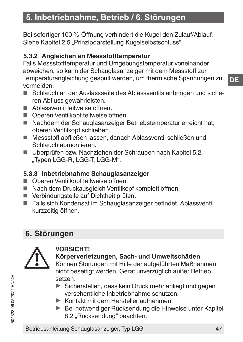# **5. Inbetriebnahme, Betrieb / 6. Störungen**

Bei sofortiger 100 %-Öffnung verhindert die Kugel den Zulauf/Ablauf. Siehe Kapitel 2.5 "Prinzipdarstellung Kugelselbstschluss".

## **5.3.2 Angleichen an Messstofftemperatur**

Falls Messstofftemperatur und Umgebungstemperatur voneinander abweichen, so kann der Schauglasanzeiger mit dem Messstoff zur Temperaturangleichung gespült werden, um thermische Spannungen zu vermeiden.

- Schlauch an der Auslassseite des Ablassventils anbringen und sicheren Abfluss gewährleisten.
- Ablassventil teilweise öffnen.
- Oberen Ventilkopf teilweise öffnen.
- Nachdem der Schauglasanzeiger Betriebstemperatur erreicht hat, oberen Ventilkopf schließen.
- Messstoff abfließen lassen, danach Ablassventil schließen und Schlauch abmontieren.
- Überprüfen bzw. Nachziehen der Schrauben nach Kapitel 5.2.1 "Typen LGG-R, LGG-T, LGG-M".

#### **5.3.3 Inbetriebnahme Schauglasanzeiger**

- Oberen Ventilkopf teilweise öffnen.
- Nach dem Druckausgleich Ventilkopf komplett öffnen.
- Verbindungsteile auf Dichtheit prüfen.
- Falls sich Kondensat im Schauglasanzeiger befindet, Ablassventil kurzzeitig öffnen.

## **6. Störungen**



#### **VORSICHT!**

#### **Körperverletzungen, Sach- und Umweltschäden**

Können Störungen mit Hilfe der aufgeführten Maßnahmen nicht beseitigt werden, Gerät unverzüglich außer Betrieb setzen.

- ▶ Sicherstellen, dass kein Druck mehr anliegt und gegen versehentliche Inbetriebnahme schützen.
- ▶ Kontakt mit dem Hersteller aufnehmen.
- ▶ Bei notwendiger Rücksendung die Hinweise unter Kapitel 8.2 "Rücksendung" beachten.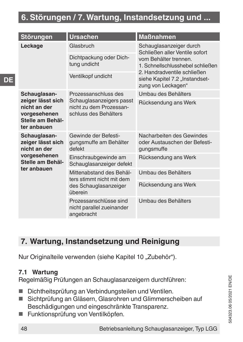## **6. Störungen / 7. Wartung, Instandsetzung und ...**

| Störungen                                                                            | <b>Ursachen</b>                                                              | <b>Maßnahmen</b>                                                                    |
|--------------------------------------------------------------------------------------|------------------------------------------------------------------------------|-------------------------------------------------------------------------------------|
| Leckage                                                                              | Glasbruch                                                                    | Schauglasanzeiger durch<br>Schließen aller Ventile sofort                           |
|                                                                                      | Dichtpackung oder Dich-<br>tung undicht                                      | vom Behälter trennen.<br>1. Schnellschlusshebel schließen                           |
|                                                                                      | Ventilkopf undicht                                                           | 2. Handradventile schließen<br>siehe Kapitel 7.2 "Instandset-<br>zung von Leckagen" |
| Schauglasan-                                                                         | Prozessanschluss des                                                         | Umbau des Behälters                                                                 |
| zeiger lässt sich<br>nicht an der<br>vorgesehenen<br>Stelle am Behäl-<br>ter anbauen | Schauglasanzeigers passt<br>nicht zu dem Prozessan-<br>schluss des Behälters | Rücksendung ans Werk                                                                |
| Schauglasan-<br>zeiger lässt sich<br>nicht an der                                    | Gewinde der Befesti-<br>gungsmuffe am Behälter<br>defekt                     | Nacharbeiten des Gewindes<br>oder Austauschen der Befesti-<br>gungsmuffe            |
| vorgesehenen<br>Stelle am Behäl-<br>ter anbauen                                      | Einschraubgewinde am<br>Schauglasanzeiger defekt                             | Rücksendung ans Werk                                                                |
|                                                                                      | Mittenabstand des Behäl-<br>ters stimmt nicht mit dem                        | Umbau des Behälters                                                                 |
|                                                                                      | des Schauglasanzeiger<br>überein                                             | Rücksendung ans Werk                                                                |
|                                                                                      | Prozessanschlüsse sind<br>nicht parallel zueinander<br>angebracht            | Umbau des Behälters                                                                 |

## **7. Wartung, Instandsetzung und Reinigung**

Nur Originalteile verwenden (siehe Kapitel 10 "Zubehör").

#### **7.1 Wartung**

Regelmäßig Prüfungen an Schauglasanzeigern durchführen:

- Dichtheitsprüfung an Verbindungsteilen und Ventilen.
- Sichtprüfung an Gläsern, Glasrohren und Glimmerscheiben auf Beschädigungen und eingeschränkte Transparenz.
- Funktionsprüfung von Ventilköpfen.

**DE**

48 Betriebsanleitung Schauglasanzeiger, Typ LGG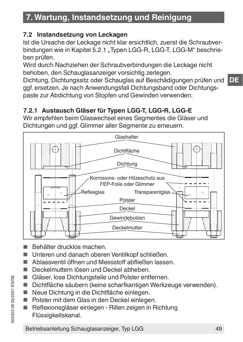## **7.2 Instandsetzung von Leckagen**

Ist die Ursache der Leckage nicht klar ersichtlich, zuerst die Schraubverbindungen wie in Kapitel 5.2.1 "Typen LGG-R, LGG-T, LGG-M" beschrieben prüfen.

Wird durch Nachziehen der Schraubverbindungen die Leckage nicht behoben, den Schauglasanzeiger vorsichtig zerlegen.

Dichtung, Dichtungssitz oder Schauglas auf Beschädigungen prüfen und ggf. ersetzen. Je nach Anwendungsfall Dichtungsband oder Dichtungspaste zur Abdichtung von Stopfen und Gewinden verwenden.

## **7.2.1 Austausch Gläser für Typen LGG-T, LGG-R, LGG-E**

Wir empfehlen beim Glaswechsel eines Segmentes die Gläser und Dichtungen und ggf. Glimmer aller Segmente zu erneuern.



- Behälter drucklos machen.
- Unteren und danach oberen Ventilkopf schließen.
- Ablassventil öffnen und Messstoff abfließen lassen.
- Deckelmuttern lösen und Deckel abheben.
- Gläser, lose Dichtungsteile und Polster entfernen.
- Dichtfläche säubern (keine scharfkantigen Werkzeuge verwenden).
- Neue Dichtung in die Dichtfläche einlegen.
- Polster mit dem Glas in den Deckel einlegen.
- Reflexionsgläser einlegen Rillen zeigen in Richtung Flüssigkeitskanal.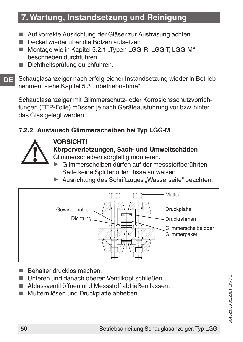- Auf korrekte Ausrichtung der Gläser zur Ausfräsung achten.
- Deckel wieder über die Bolzen aufsetzen.
- Montage wie in Kapitel 5.2.1 "Typen LGG-R, LGG-T, LGG-M" beschrieben durchführen.
- Dichtheitsprüfung durchführen.

**DE** Schauglasanzeiger nach erfolgreicher Instandsetzung wieder in Betrieb nehmen, siehe Kapitel 5.3 "Inbetriebnahme".

Schauglasanzeiger mit Glimmerschutz- oder Korrosionsschutzvorrichtungen (FEP-Folie) müssen je nach Geräteausführung vor bzw. hinter das Glas gelegt werden.

## **7.2.2 Austausch Glimmerscheiben bei Typ LGG-M**



#### **VORSICHT!**

**Körperverletzungen, Sach- und Umweltschäden** Glimmerscheiben sorgfältig montieren.

- ▶ Glimmerscheiben dürfen auf der messstoffberührten Seite keine Splitter oder Risse aufweisen.
- ▶ Ausrichtung des Schriftzuges "Wasserseite" beachten.



- Behälter drucklos machen.
- Unteren und danach oberen Ventilkopf schließen.
- Ablassventil öffnen und Messstoff abfließen lassen.
- Muttern lösen und Druckplatte abheben.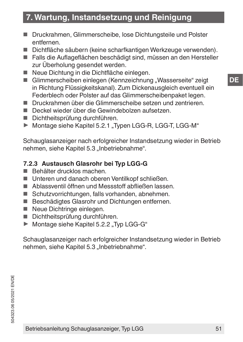- Druckrahmen, Glimmerscheibe, lose Dichtungsteile und Polster entfernen.
- Dichtfläche säubern (keine scharfkantigen Werkzeuge verwenden).
- Falls die Auflageflächen beschädigt sind, müssen an den Hersteller zur Überholung gesendet werden.
- Neue Dichtung in die Dichtfläche einlegen.
- Glimmerscheiben einlegen (Kennzeichnung "Wasserseite" zeigt in Richtung Flüssigkeitskanal). Zum Dickenausgleich eventuell ein Federblech oder Polster auf das Glimmerscheibenpaket legen.
- Druckrahmen über die Glimmerscheibe setzen und zentrieren.
- Deckel wieder über die Gewindebolzen aufsetzen.
- Dichtheitsprüfung durchführen.
- ▶ Montage siehe Kapitel 5.2.1 "Typen LGG-R, LGG-T, LGG-M"

Schauglasanzeiger nach erfolgreicher Instandsetzung wieder in Betrieb nehmen, siehe Kapitel 5.3 "Inbetriebnahme".

#### **7.2.3 Austausch Glasrohr bei Typ LGG-G**

- Behälter drucklos machen.
- Unteren und danach oberen Ventilkopf schließen.
- Ablassventil öffnen und Messstoff abfließen lassen.
- Schutzvorrichtungen, falls vorhanden, abnehmen.
- Beschädigtes Glasrohr und Dichtungen entfernen.
- Neue Dichtringe einlegen.
- Dichtheitsprüfung durchführen.
- ▶ Montage siehe Kapitel 5.2.2 ..Tvp LGG-G"

Schauglasanzeiger nach erfolgreicher Instandsetzung wieder in Betrieb nehmen, siehe Kapitel 5.3 "Inbetriebnahme".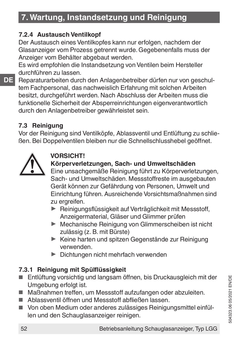#### **7.2.4 Austausch Ventilkopf**

Der Austausch eines Ventilkopfes kann nur erfolgen, nachdem der Glasanzeiger vom Prozess getrennt wurde. Gegebenenfalls muss der Anzeiger vom Behälter abgebaut werden.

Es wird empfohlen die Instandsetzung von Ventilen beim Hersteller durchführen zu lassen.

Reparaturarbeiten durch den Anlagenbetreiber dürfen nur von geschultem Fachpersonal, das nachweislich Erfahrung mit solchen Arbeiten besitzt, durchgeführt werden. Nach Abschluss der Arbeiten muss die funktionelle Sicherheit der Absperreinrichtungen eigenverantwortlich durch den Anlagenbetreiber gewährleistet sein.

#### **7.3 Reinigung**

Vor der Reinigung sind Ventilköpfe, Ablassventil und Entlüftung zu schließen. Bei Doppelventilen bleiben nur die Schnellschlusshebel geöffnet.



**DE**

#### **VORSICHT!**

#### **Körperverletzungen, Sach- und Umweltschäden**

Eine unsachgemäße Reinigung führt zu Körperverletzungen, Sach- und Umweltschäden. Messstoffreste im ausgebauten Gerät können zur Gefährdung von Personen, Umwelt und Einrichtung führen. Ausreichende Vorsichtsmaßnahmen sind zu ergreifen.

- ▶ Reinigungsflüssigkeit auf Verträglichkeit mit Messstoff, Anzeigermaterial, Gläser und Glimmer prüfen
- ▶ Mechanische Reinigung von Glimmerscheiben ist nicht zulässig (z. B. mit Bürste)
- ▶ Keine harten und spitzen Gegenstände zur Reinigung verwenden.
- ▶ Dichtungen nicht mehrfach verwenden

#### **7.3.1 Reinigung mit Spülflüssigkeit**

- Entlüftung vorsichtig und langsam öffnen, bis Druckausgleich mit der Umgebung erfolgt ist.
- Maßnahmen treffen, um Messstoff aufzufangen oder abzuleiten.
- Ablassventil öffnen und Messstoff abfließen lassen.
- Von oben Medium oder anderes zulässiges Reinigungsmittel einfüllen und den Schauglasanzeiger reinigen.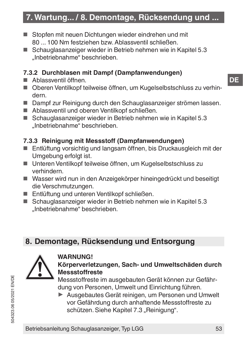# **7. Wartung... / 8. Demontage, Rücksendung und ...**

- Stopfen mit neuen Dichtungen wieder eindrehen und mit 80 ... 100 Nm festziehen bzw. Ablassventil schließen.
- Schauglasanzeiger wieder in Betrieb nehmen wie in Kapitel 5.3 "Inbetriebnahme" beschrieben.

## **7.3.2 Durchblasen mit Dampf (Dampfanwendungen)**

- Ablassventil öffnen.
- Oberen Ventilkopf teilweise öffnen, um Kugelselbstschluss zu verhindern.
- Dampf zur Reinigung durch den Schauglasanzeiger strömen lassen.
- Ablassventil und oberen Ventilkopf schließen.
- Schauglasanzeiger wieder in Betrieb nehmen wie in Kapitel 5.3 "Inbetriebnahme" beschrieben.

#### **7.3.3 Reinigung mit Messstoff (Dampfanwendungen)**

- Entlüftung vorsichtig und langsam öffnen, bis Druckausgleich mit der Umgebung erfolgt ist.
- Unteren Ventilkopf teilweise öffnen, um Kugelselbstschluss zu verhindern.
- Wasser wird nun in den Anzeigekörper hineingedrückt und beseitigt die Verschmutzungen.
- Entlüftung und unteren Ventilkopf schließen.
- Schauglasanzeiger wieder in Betrieb nehmen wie in Kapitel 5.3 "Inbetriebnahme" beschrieben.

## **8. Demontage, Rücksendung und Entsorgung**



# **WARNUNG!**



Messstoffreste im ausgebauten Gerät können zur Gefährdung von Personen, Umwelt und Einrichtung führen.

▶ Ausgebautes Gerät reinigen, um Personen und Umwelt vor Gefährdung durch anhaftende Messstoffreste zu schützen. Siehe Kapitel 7.3 "Reinigung".

Betriebsanleitung Schauglasanzeiger, Typ LGG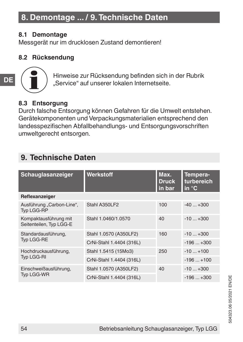## **8. Demontage ... / 9. Technische Daten**

#### **8.1 Demontage**

Messgerät nur im drucklosen Zustand demontieren!

#### **8.2 Rücksendung**



**DE**

Hinweise zur Rücksendung befinden sich in der Rubrik "Service" auf unserer lokalen Internetseite.

#### **8.3 Entsorgung**

Durch falsche Entsorgung können Gefahren für die Umwelt entstehen. Gerätekomponenten und Verpackungsmaterialien entsprechend den landesspezifischen Abfallbehandlungs- und Entsorgungsvorschriften umweltgerecht entsorgen.

## **9. Technische Daten**

| Schauglasanzeiger                                | <b>Werkstoff</b>         | Max.<br><b>Druck</b><br>in bar | Tempera-<br>turbereich<br>in °C |
|--------------------------------------------------|--------------------------|--------------------------------|---------------------------------|
| Reflexanzeiger                                   |                          |                                |                                 |
| Ausführung "Carbon-Line",<br>Typ LGG-RP          | Stahl A350LF2            | 100                            | $-40+300$                       |
| Kompaktausführung mit<br>Seitenteilen, Typ LGG-E | Stahl 1.0460/1.0570      | 40                             | $-10+300$                       |
| Standardausführung,                              | Stahl 1.0570 (A350LF2)   | 160                            | $-10+300$                       |
| Typ LGG-RE                                       | CrNi-Stahl 1.4404 (316L) |                                | $-196+300$                      |
| Hochdruckausführung,                             | Stahl 1.5415 (15Mo3)     | 250                            | $-10+100$                       |
| <b>Typ LGG-RI</b>                                | CrNi-Stahl 1.4404 (316L) |                                | $-196+100$                      |
| Einschweißausführung,                            | Stahl 1.0570 (A350LF2)   | 40                             | $-10+300$                       |
| <b>Typ LGG-WR</b>                                | CrNi-Stahl 1.4404 (316L) |                                | $-196+300$                      |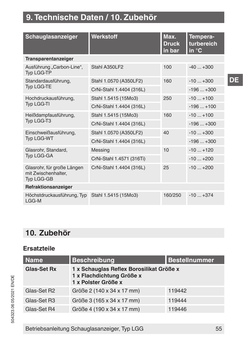# **9. Technische Daten / 10. Zubehör**

| Schauglasanzeiger                                               | Werkstoff                 | Max.<br><b>Druck</b><br>in bar | Tempera-<br>turbereich<br>$\overline{\mathsf{in}}$ °C |  |  |
|-----------------------------------------------------------------|---------------------------|--------------------------------|-------------------------------------------------------|--|--|
| Transparentanzeiger                                             |                           |                                |                                                       |  |  |
| Ausführung "Carbon-Line",<br>Typ LGG-TP                         | Stahl A350LF2             | 100                            | $-40+300$                                             |  |  |
| Standardausführung,                                             | Stahl 1.0570 (A350LF2)    | 160                            | $-10+300$                                             |  |  |
| Typ LGG-TE                                                      | CrNi-Stahl 1.4404 (316L)  |                                | $-196+300$                                            |  |  |
| Hochdruckausführung,                                            | Stahl 1.5415 (15Mo3)      | 250                            | $-10 + 100$                                           |  |  |
| <b>Typ LGG-TI</b>                                               | CrNi-Stahl 1.4404 (316L)  |                                | $-196+100$                                            |  |  |
| Heißdampfausführung,                                            | Stahl 1.5415 (15Mo3)      | 160                            | $-10+100$                                             |  |  |
| Typ LGG-T3                                                      | CrNi-Stahl 1.4404 (316L)  |                                | $-196+300$                                            |  |  |
| Einschweißausführung,                                           | Stahl 1.0570 (A350LF2)    | 40                             | $-10+300$                                             |  |  |
| <b>Typ LGG-WT</b>                                               | CrNi-Stahl 1.4404 (316L)  |                                | $-196+300$                                            |  |  |
| Glasrohr, Standard,                                             | Messing                   | 10                             | $-10+120$                                             |  |  |
| Typ LGG-GA                                                      | CrNi-Stahl 1.4571 (316Ti) |                                | $-10+200$                                             |  |  |
| Glasrohr, für große Längen<br>mit Zwischenhalter,<br>Typ LGG-GB | CrNi-Stahl 1.4404 (316L)  | 25                             | $-10+200$                                             |  |  |
| Refraktionsanzeiger                                             |                           |                                |                                                       |  |  |
| Höchstdruckausführung, Typ<br>LGG-M                             | Stahl 1.5415 (15Mo3)      | 160/250                        | $-10+374$                                             |  |  |

## **10. Zubehör**

#### **Ersatzteile**

| <b>Name</b> | <b>Beschreibung</b>                                                                          | <b>Bestellnummer</b> |
|-------------|----------------------------------------------------------------------------------------------|----------------------|
| Glas-Set Rx | 1 x Schauglas Reflex Borosilikat Größe x<br>1 x Flachdichtung Größe x<br>1 x Polster Größe x |                      |
| Glas-Set R2 | Größe 2 (140 x 34 x 17 mm)                                                                   | 119442               |
| Glas-Set R3 | Größe 3 (165 x 34 x 17 mm)                                                                   | 119444               |
| Glas-Set R4 | Größe 4 (190 x 34 x 17 mm)                                                                   | 119446               |

Betriebsanleitung Schauglasanzeiger, Typ LGG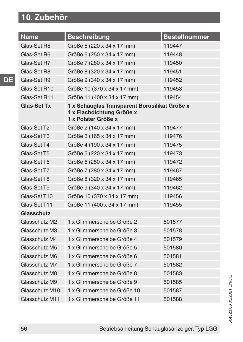# **10. Zubehör**

| <b>Name</b>    | <b>Beschreibung</b>                                                                               | <b>Bestellnummer</b> |
|----------------|---------------------------------------------------------------------------------------------------|----------------------|
| Glas-Set R5    | Größe 5 (220 x 34 x 17 mm)                                                                        | 119447               |
| Glas-Set R6    | Größe 6 (250 x 34 x 17 mm)                                                                        | 119448               |
| Glas-Set R7    | Größe 7 (280 x 34 x 17 mm)                                                                        | 119450               |
| Glas-Set R8    | Größe 8 (320 x 34 x 17 mm)                                                                        | 119451               |
| Glas-Set R9    | Größe 9 (340 x 34 x 17 mm)                                                                        | 119452               |
| Glas-Set R10   | Größe 10 (370 x 34 x 17 mm)                                                                       | 119453               |
| Glas-Set R11   | Größe 11 (400 x 34 x 17 mm)                                                                       | 119454               |
| Glas-Set Tx    | 1 x Schauglas Transparent Borosilikat Größe x<br>1 x Flachdichtung Größe x<br>1 x Polster Größe x |                      |
| Glas-Set T2    | Größe 2 (140 x 34 x 17 mm)                                                                        | 119477               |
| Glas-Set T3    | Größe 3 (165 x 34 x 17 mm)                                                                        | 119476               |
| Glas-Set T4    | Größe 4 (190 x 34 x 17 mm)                                                                        | 119475               |
| Glas-Set T5    | Größe 5 (220 x 34 x 17 mm)                                                                        | 119473               |
| Glas-Set T6    | Größe 6 (250 x 34 x 17 mm)                                                                        | 119472               |
| Glas-Set T7    | Größe 7 (280 x 34 x 17 mm)                                                                        | 119467               |
| Glas-Set T8    | Größe 8 (320 x 34 x 17 mm)                                                                        | 119465               |
| Glas-Set T9    | Größe 9 (340 x 34 x 17 mm)                                                                        | 119462               |
| Glas-Set T10   | Größe 10 (370 x 34 x 17 mm)                                                                       | 119456               |
| Glas-Set T11   | Größe 11 (400 x 34 x 17 mm)                                                                       | 119455               |
| Glasschutz     |                                                                                                   |                      |
| Glasschutz M2  | 1 x Glimmerscheibe Größe 2                                                                        | 501577               |
| Glasschutz M3  | 1 x Glimmerscheibe Größe 3                                                                        | 501578               |
| Glasschutz M4  | 1 x Glimmerscheibe Größe 4                                                                        | 501579               |
| Glasschutz M5  | 1 x Glimmerscheibe Größe 5                                                                        | 501580               |
| Glasschutz M6  | 1 x Glimmerscheibe Größe 6                                                                        | 501581               |
| Glasschutz M7  | 1 x Glimmerscheibe Größe 7                                                                        | 501582               |
| Glasschutz M8  | 1 x Glimmerscheibe Größe 8                                                                        | 501583               |
| Glasschutz M9  | 1 x Glimmerscheibe Größe 9                                                                        | 501585               |
| Glasschutz M10 | 1 x Glimmerscheibe Größe 10                                                                       | 501587               |
| Glasschutz M11 | 1 x Glimmerscheibe Größe 11                                                                       | 501588               |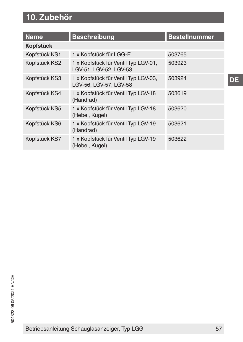# **10. Zubehör**

| <b>Name</b>   | <b>Beschreibung</b>                                            | <b>Bestellnummer</b> |
|---------------|----------------------------------------------------------------|----------------------|
| Kopfstück     |                                                                |                      |
| Kopfstück KS1 | 1 x Kopfstück für LGG-E                                        | 503765               |
| Kopfstück KS2 | 1 x Kopfstück für Ventil Typ LGV-01,<br>LGV-51. LGV-52. LGV-53 | 503923               |
| Kopfstück KS3 | 1 x Kopfstück für Ventil Typ LGV-03,<br>LGV-56. LGV-57. LGV-58 | 503924               |
| Kopfstück KS4 | 1 x Kopfstück für Ventil Typ LGV-18<br>(Handrad)               | 503619               |
| Kopfstück KS5 | 1 x Kopfstück für Ventil Typ LGV-18<br>(Hebel, Kugel)          | 503620               |
| Kopfstück KS6 | 1 x Kopfstück für Ventil Typ LGV-19<br>(Handrad)               | 503621               |
| Kopfstück KS7 | 1 x Kopfstück für Ventil Typ LGV-19<br>(Hebel, Kugel)          | 503622               |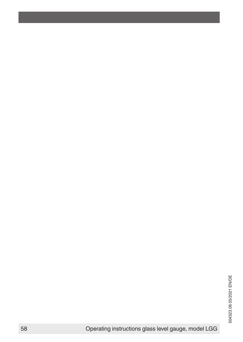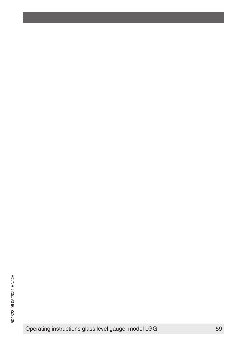Operating instructions glass level gauge, model LGG